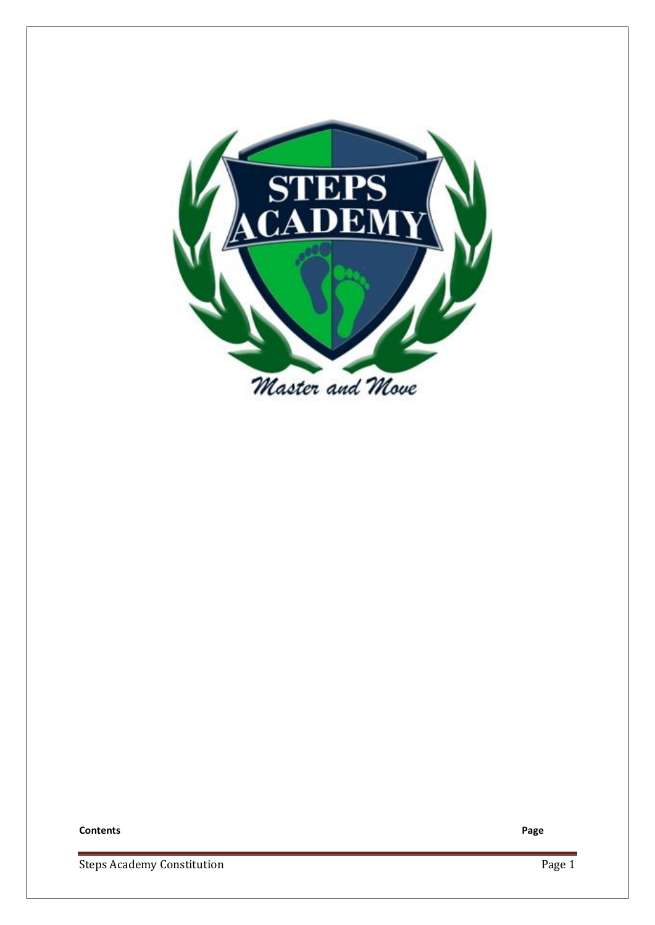

**Contents Page**

Steps Academy Constitution

Page 1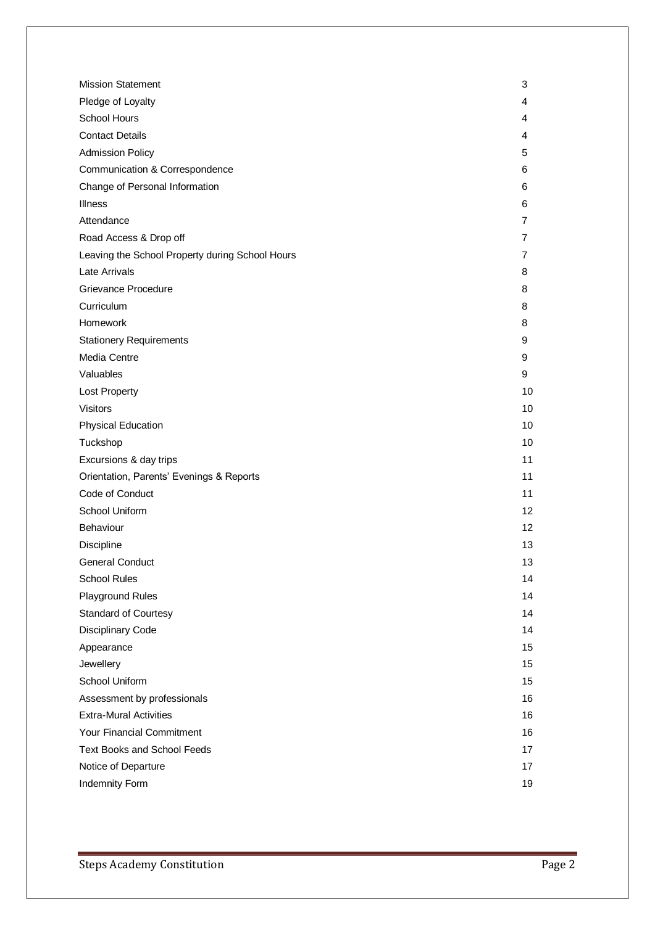| <b>Mission Statement</b>                        | 3              |
|-------------------------------------------------|----------------|
| Pledge of Loyalty                               | 4              |
| School Hours                                    | 4              |
| <b>Contact Details</b>                          | 4              |
| <b>Admission Policy</b>                         | 5              |
| Communication & Correspondence                  | 6              |
| Change of Personal Information                  | 6              |
| <b>Illness</b>                                  | 6              |
| Attendance                                      | $\overline{7}$ |
| Road Access & Drop off                          | 7              |
| Leaving the School Property during School Hours | 7              |
| Late Arrivals                                   | 8              |
| <b>Grievance Procedure</b>                      | 8              |
| Curriculum                                      | 8              |
| Homework                                        | 8              |
| <b>Stationery Requirements</b>                  | 9              |
| Media Centre                                    | 9              |
| Valuables                                       | 9              |
| Lost Property                                   | 10             |
| <b>Visitors</b>                                 | 10             |
| <b>Physical Education</b>                       | 10             |
| Tuckshop                                        | 10             |
| Excursions & day trips                          | 11             |
| Orientation, Parents' Evenings & Reports        | 11             |
| Code of Conduct                                 | 11             |
| School Uniform                                  | 12             |
| Behaviour                                       | 12             |
| Discipline                                      | 13             |
| <b>General Conduct</b>                          | 13             |
| <b>School Rules</b>                             | 14             |
| <b>Playground Rules</b>                         | 14             |
| <b>Standard of Courtesy</b>                     | 14             |
| Disciplinary Code                               | 14             |
| Appearance                                      | 15             |
| Jewellery                                       | 15             |
| School Uniform                                  | 15             |
| Assessment by professionals                     | 16             |
| <b>Extra-Mural Activities</b>                   | 16             |
| Your Financial Commitment                       | 16             |
| <b>Text Books and School Feeds</b>              | 17             |
| Notice of Departure                             | 17             |
| Indemnity Form                                  | 19             |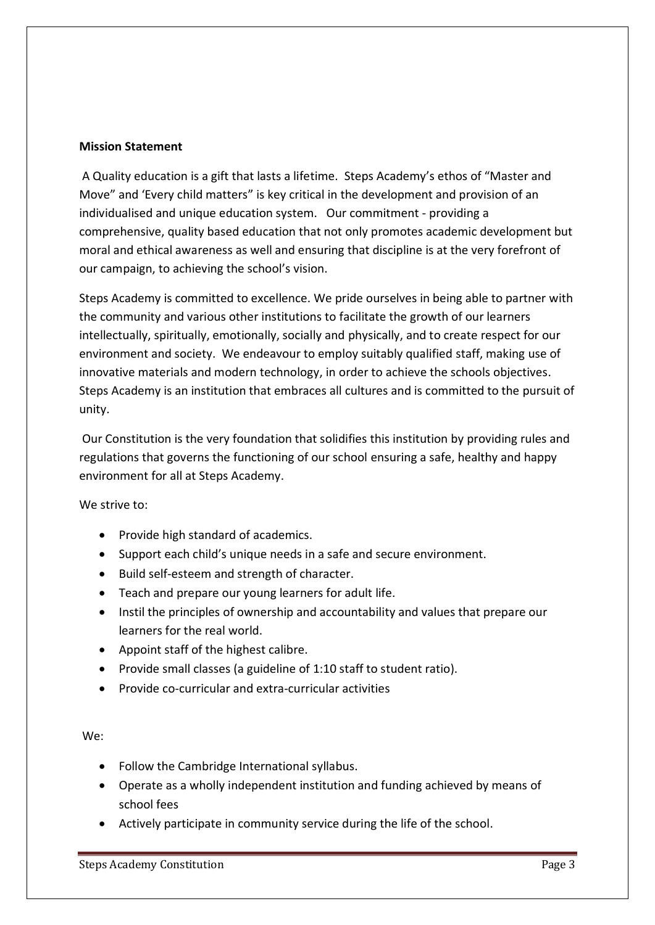### **Mission Statement**

A Quality education is a gift that lasts a lifetime. Steps Academy's ethos of "Master and Move" and 'Every child matters" is key critical in the development and provision of an individualised and unique education system. Our commitment - providing a comprehensive, quality based education that not only promotes academic development but moral and ethical awareness as well and ensuring that discipline is at the very forefront of our campaign, to achieving the school's vision.

Steps Academy is committed to excellence. We pride ourselves in being able to partner with the community and various other institutions to facilitate the growth of our learners intellectually, spiritually, emotionally, socially and physically, and to create respect for our environment and society. We endeavour to employ suitably qualified staff, making use of innovative materials and modern technology, in order to achieve the schools objectives. Steps Academy is an institution that embraces all cultures and is committed to the pursuit of unity.

Our Constitution is the very foundation that solidifies this institution by providing rules and regulations that governs the functioning of our school ensuring a safe, healthy and happy environment for all at Steps Academy.

We strive to:

- Provide high standard of academics.
- Support each child's unique needs in a safe and secure environment.
- Build self-esteem and strength of character.
- Teach and prepare our young learners for adult life.
- Instil the principles of ownership and accountability and values that prepare our learners for the real world.
- Appoint staff of the highest calibre.
- Provide small classes (a guideline of 1:10 staff to student ratio).
- Provide co-curricular and extra-curricular activities

### We:

- Follow the Cambridge International syllabus.
- Operate as a wholly independent institution and funding achieved by means of school fees
- Actively participate in community service during the life of the school.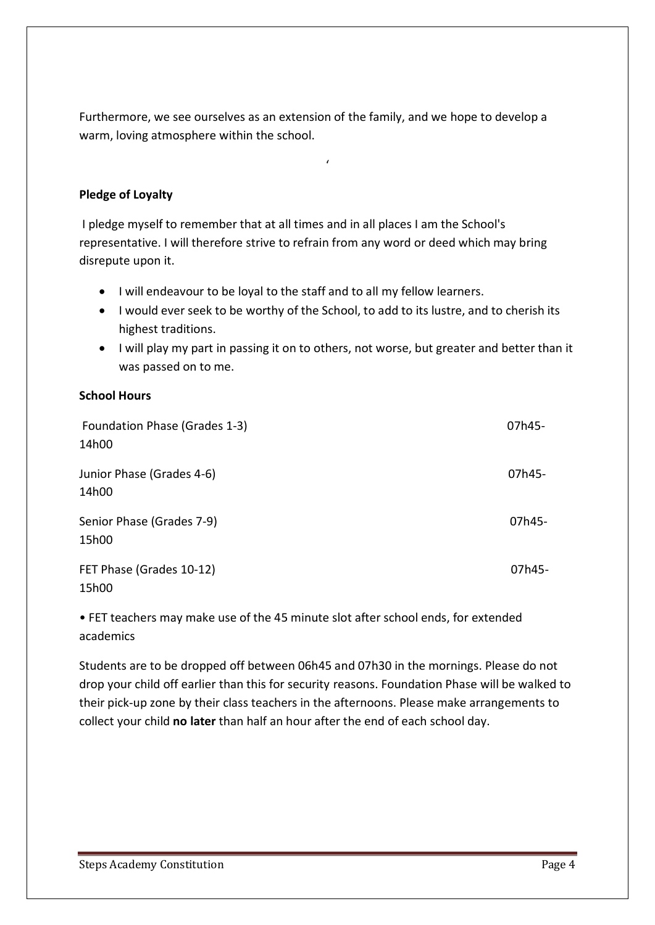Furthermore, we see ourselves as an extension of the family, and we hope to develop a warm, loving atmosphere within the school.

'

## **Pledge of Loyalty**

I pledge myself to remember that at all times and in all places I am the School's representative. I will therefore strive to refrain from any word or deed which may bring disrepute upon it.

- I will endeavour to be loyal to the staff and to all my fellow learners.
- I would ever seek to be worthy of the School, to add to its lustre, and to cherish its highest traditions.
- I will play my part in passing it on to others, not worse, but greater and better than it was passed on to me.

### **School Hours**

| Foundation Phase (Grades 1-3)<br>14h00 | 07h45- |
|----------------------------------------|--------|
| Junior Phase (Grades 4-6)<br>14h00     | 07h45- |
| Senior Phase (Grades 7-9)<br>15h00     | 07h45- |
| FET Phase (Grades 10-12)<br>15h00      | 07h45- |

• FET teachers may make use of the 45 minute slot after school ends, for extended academics

Students are to be dropped off between 06h45 and 07h30 in the mornings. Please do not drop your child off earlier than this for security reasons. Foundation Phase will be walked to their pick-up zone by their class teachers in the afternoons. Please make arrangements to collect your child **no later** than half an hour after the end of each school day.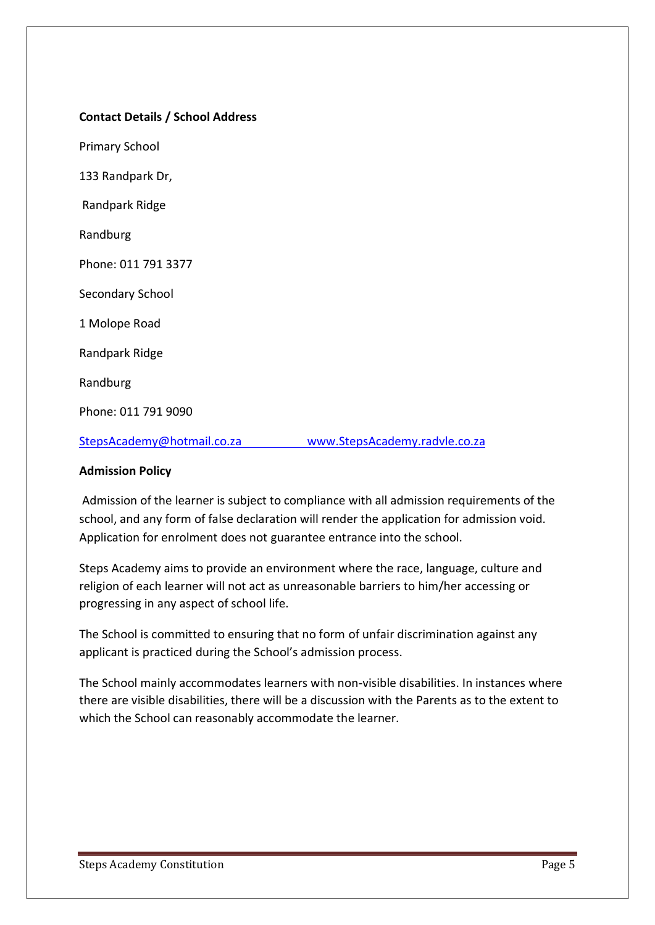### **Contact Details / School Address**

Primary School 133 Randpark Dr, Randpark Ridge Randburg

Phone: 011 791 3377

Secondary School

1 Molope Road

Randpark Ridge

Randburg

Phone: 011 791 9090

[StepsAcademy@hotmail.co.za](mailto:StepsAcademy@hotmail.co.za) [www.StepsAcademy.radvle.co.za](http://www.stepsacademy.radvle.co.za/)

#### **Admission Policy**

Admission of the learner is subject to compliance with all admission requirements of the school, and any form of false declaration will render the application for admission void. Application for enrolment does not guarantee entrance into the school.

Steps Academy aims to provide an environment where the race, language, culture and religion of each learner will not act as unreasonable barriers to him/her accessing or progressing in any aspect of school life.

The School is committed to ensuring that no form of unfair discrimination against any applicant is practiced during the School's admission process.

The School mainly accommodates learners with non-visible disabilities. In instances where there are visible disabilities, there will be a discussion with the Parents as to the extent to which the School can reasonably accommodate the learner.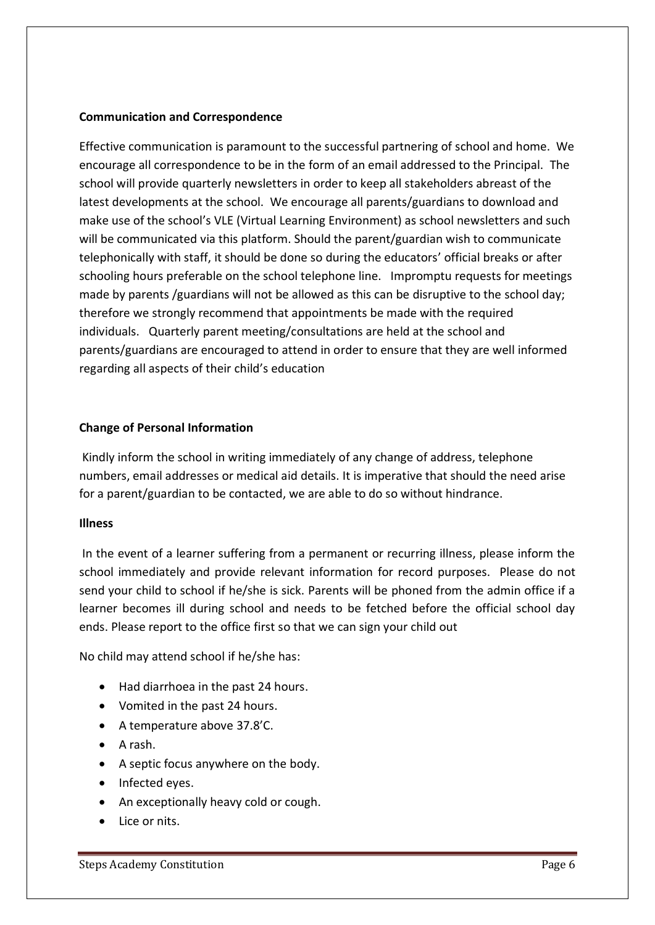### **Communication and Correspondence**

Effective communication is paramount to the successful partnering of school and home. We encourage all correspondence to be in the form of an email addressed to the Principal. The school will provide quarterly newsletters in order to keep all stakeholders abreast of the latest developments at the school. We encourage all parents/guardians to download and make use of the school's VLE (Virtual Learning Environment) as school newsletters and such will be communicated via this platform. Should the parent/guardian wish to communicate telephonically with staff, it should be done so during the educators' official breaks or after schooling hours preferable on the school telephone line. Impromptu requests for meetings made by parents /guardians will not be allowed as this can be disruptive to the school day; therefore we strongly recommend that appointments be made with the required individuals. Quarterly parent meeting/consultations are held at the school and parents/guardians are encouraged to attend in order to ensure that they are well informed regarding all aspects of their child's education

### **Change of Personal Information**

Kindly inform the school in writing immediately of any change of address, telephone numbers, email addresses or medical aid details. It is imperative that should the need arise for a parent/guardian to be contacted, we are able to do so without hindrance.

### **Illness**

In the event of a learner suffering from a permanent or recurring illness, please inform the school immediately and provide relevant information for record purposes. Please do not send your child to school if he/she is sick. Parents will be phoned from the admin office if a learner becomes ill during school and needs to be fetched before the official school day ends. Please report to the office first so that we can sign your child out

No child may attend school if he/she has:

- Had diarrhoea in the past 24 hours.
- Vomited in the past 24 hours.
- A temperature above 37.8'C.
- $\bullet$  A rash.
- A septic focus anywhere on the body.
- Infected eyes.
- An exceptionally heavy cold or cough.
- Lice or nits.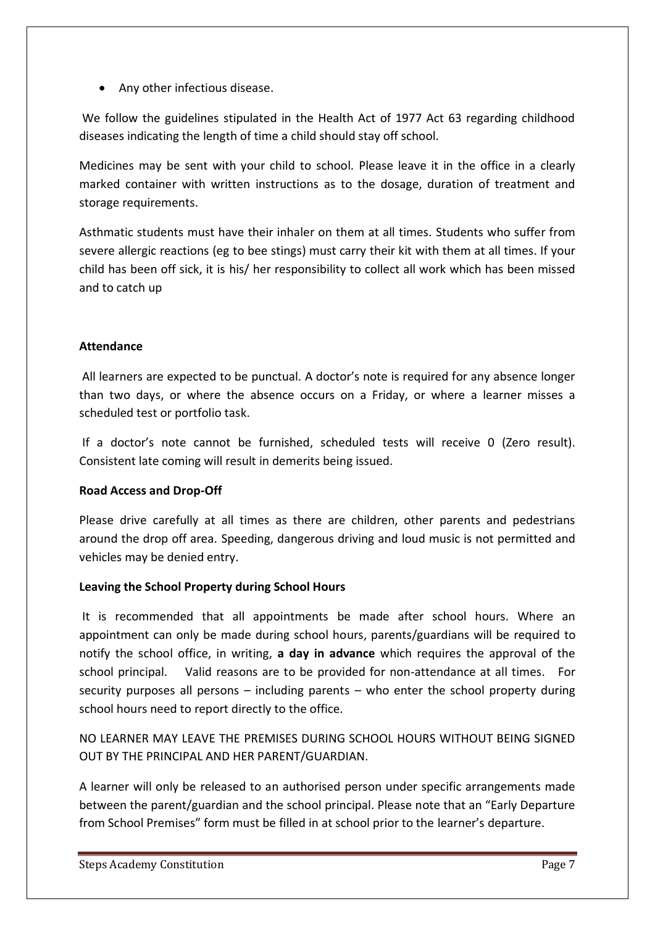• Any other infectious disease.

We follow the guidelines stipulated in the Health Act of 1977 Act 63 regarding childhood diseases indicating the length of time a child should stay off school.

Medicines may be sent with your child to school. Please leave it in the office in a clearly marked container with written instructions as to the dosage, duration of treatment and storage requirements.

Asthmatic students must have their inhaler on them at all times. Students who suffer from severe allergic reactions (eg to bee stings) must carry their kit with them at all times. If your child has been off sick, it is his/ her responsibility to collect all work which has been missed and to catch up

# **Attendance**

All learners are expected to be punctual. A doctor's note is required for any absence longer than two days, or where the absence occurs on a Friday, or where a learner misses a scheduled test or portfolio task.

If a doctor's note cannot be furnished, scheduled tests will receive 0 (Zero result). Consistent late coming will result in demerits being issued.

# **Road Access and Drop-Off**

Please drive carefully at all times as there are children, other parents and pedestrians around the drop off area. Speeding, dangerous driving and loud music is not permitted and vehicles may be denied entry.

### **Leaving the School Property during School Hours**

It is recommended that all appointments be made after school hours. Where an appointment can only be made during school hours, parents/guardians will be required to notify the school office, in writing, **a day in advance** which requires the approval of the school principal. Valid reasons are to be provided for non-attendance at all times. For security purposes all persons – including parents – who enter the school property during school hours need to report directly to the office.

NO LEARNER MAY LEAVE THE PREMISES DURING SCHOOL HOURS WITHOUT BEING SIGNED OUT BY THE PRINCIPAL AND HER PARENT/GUARDIAN.

A learner will only be released to an authorised person under specific arrangements made between the parent/guardian and the school principal. Please note that an "Early Departure from School Premises" form must be filled in at school prior to the learner's departure.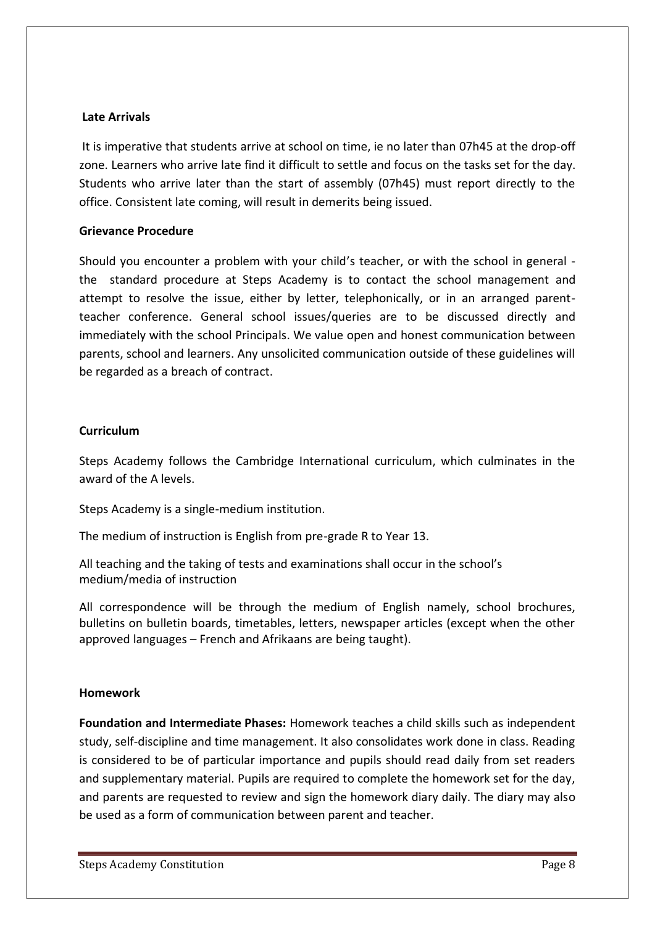### **Late Arrivals**

It is imperative that students arrive at school on time, ie no later than 07h45 at the drop-off zone. Learners who arrive late find it difficult to settle and focus on the tasks set for the day. Students who arrive later than the start of assembly (07h45) must report directly to the office. Consistent late coming, will result in demerits being issued.

### **Grievance Procedure**

Should you encounter a problem with your child's teacher, or with the school in general the standard procedure at Steps Academy is to contact the school management and attempt to resolve the issue, either by letter, telephonically, or in an arranged parentteacher conference. General school issues/queries are to be discussed directly and immediately with the school Principals. We value open and honest communication between parents, school and learners. Any unsolicited communication outside of these guidelines will be regarded as a breach of contract.

### **Curriculum**

Steps Academy follows the Cambridge International curriculum, which culminates in the award of the A levels.

Steps Academy is a single-medium institution.

The medium of instruction is English from pre-grade R to Year 13.

All teaching and the taking of tests and examinations shall occur in the school's medium/media of instruction

All correspondence will be through the medium of English namely, school brochures, bulletins on bulletin boards, timetables, letters, newspaper articles (except when the other approved languages – French and Afrikaans are being taught).

### **Homework**

**Foundation and Intermediate Phases:** Homework teaches a child skills such as independent study, self-discipline and time management. It also consolidates work done in class. Reading is considered to be of particular importance and pupils should read daily from set readers and supplementary material. Pupils are required to complete the homework set for the day, and parents are requested to review and sign the homework diary daily. The diary may also be used as a form of communication between parent and teacher.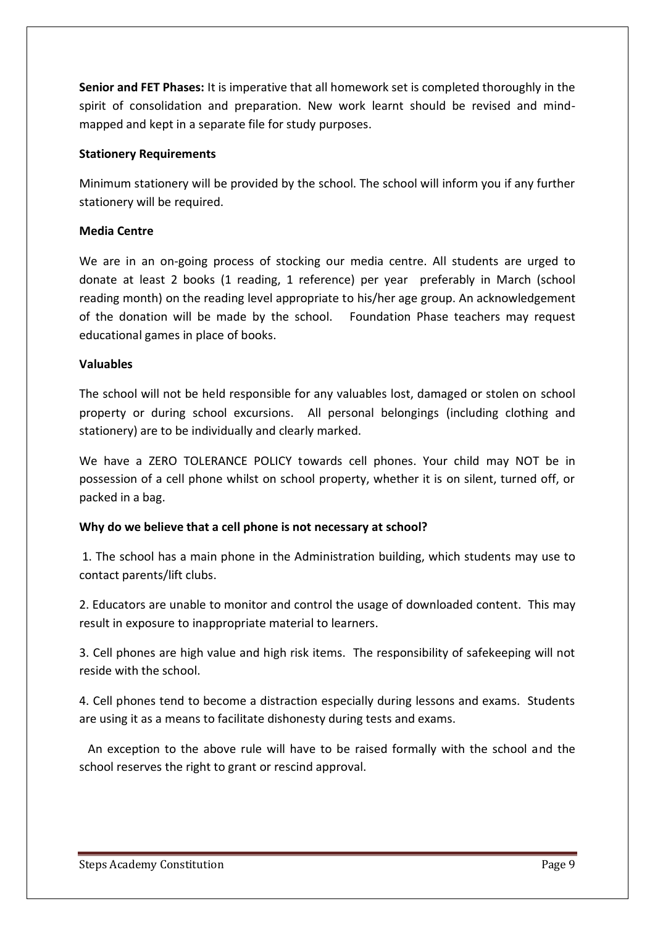**Senior and FET Phases:** It is imperative that all homework set is completed thoroughly in the spirit of consolidation and preparation. New work learnt should be revised and mindmapped and kept in a separate file for study purposes.

### **Stationery Requirements**

Minimum stationery will be provided by the school. The school will inform you if any further stationery will be required.

# **Media Centre**

We are in an on-going process of stocking our media centre. All students are urged to donate at least 2 books (1 reading, 1 reference) per year preferably in March (school reading month) on the reading level appropriate to his/her age group. An acknowledgement of the donation will be made by the school. Foundation Phase teachers may request educational games in place of books.

### **Valuables**

The school will not be held responsible for any valuables lost, damaged or stolen on school property or during school excursions. All personal belongings (including clothing and stationery) are to be individually and clearly marked.

We have a ZERO TOLERANCE POLICY towards cell phones. Your child may NOT be in possession of a cell phone whilst on school property, whether it is on silent, turned off, or packed in a bag.

# **Why do we believe that a cell phone is not necessary at school?**

1. The school has a main phone in the Administration building, which students may use to contact parents/lift clubs.

2. Educators are unable to monitor and control the usage of downloaded content. This may result in exposure to inappropriate material to learners.

3. Cell phones are high value and high risk items. The responsibility of safekeeping will not reside with the school.

4. Cell phones tend to become a distraction especially during lessons and exams. Students are using it as a means to facilitate dishonesty during tests and exams.

 An exception to the above rule will have to be raised formally with the school and the school reserves the right to grant or rescind approval.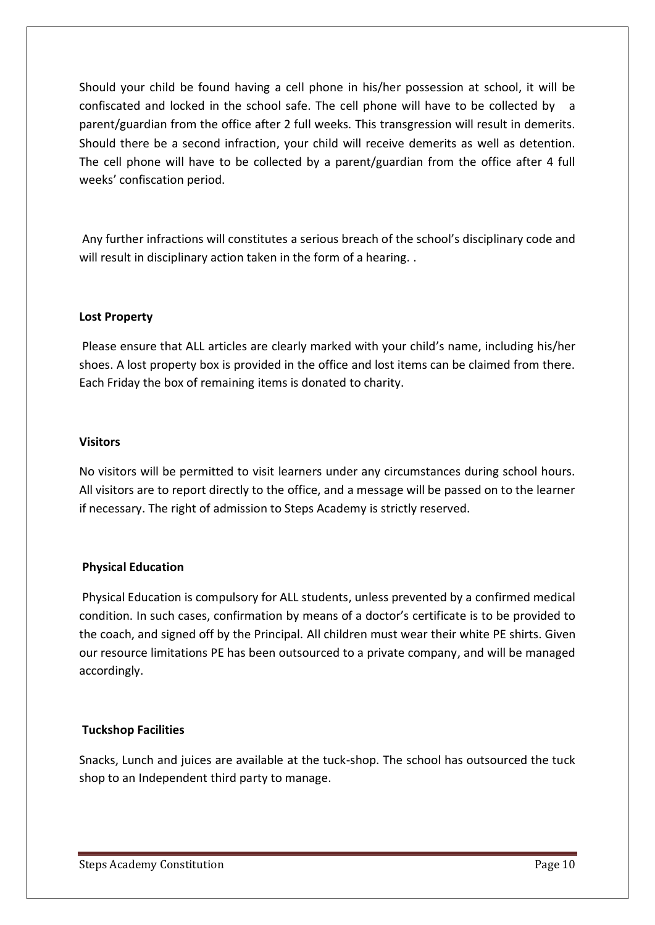Should your child be found having a cell phone in his/her possession at school, it will be confiscated and locked in the school safe. The cell phone will have to be collected by a parent/guardian from the office after 2 full weeks. This transgression will result in demerits. Should there be a second infraction, your child will receive demerits as well as detention. The cell phone will have to be collected by a parent/guardian from the office after 4 full weeks' confiscation period.

Any further infractions will constitutes a serious breach of the school's disciplinary code and will result in disciplinary action taken in the form of a hearing..

# **Lost Property**

Please ensure that ALL articles are clearly marked with your child's name, including his/her shoes. A lost property box is provided in the office and lost items can be claimed from there. Each Friday the box of remaining items is donated to charity.

### **Visitors**

No visitors will be permitted to visit learners under any circumstances during school hours. All visitors are to report directly to the office, and a message will be passed on to the learner if necessary. The right of admission to Steps Academy is strictly reserved.

# **Physical Education**

Physical Education is compulsory for ALL students, unless prevented by a confirmed medical condition. In such cases, confirmation by means of a doctor's certificate is to be provided to the coach, and signed off by the Principal. All children must wear their white PE shirts. Given our resource limitations PE has been outsourced to a private company, and will be managed accordingly.

# **Tuckshop Facilities**

Snacks, Lunch and juices are available at the tuck-shop. The school has outsourced the tuck shop to an Independent third party to manage.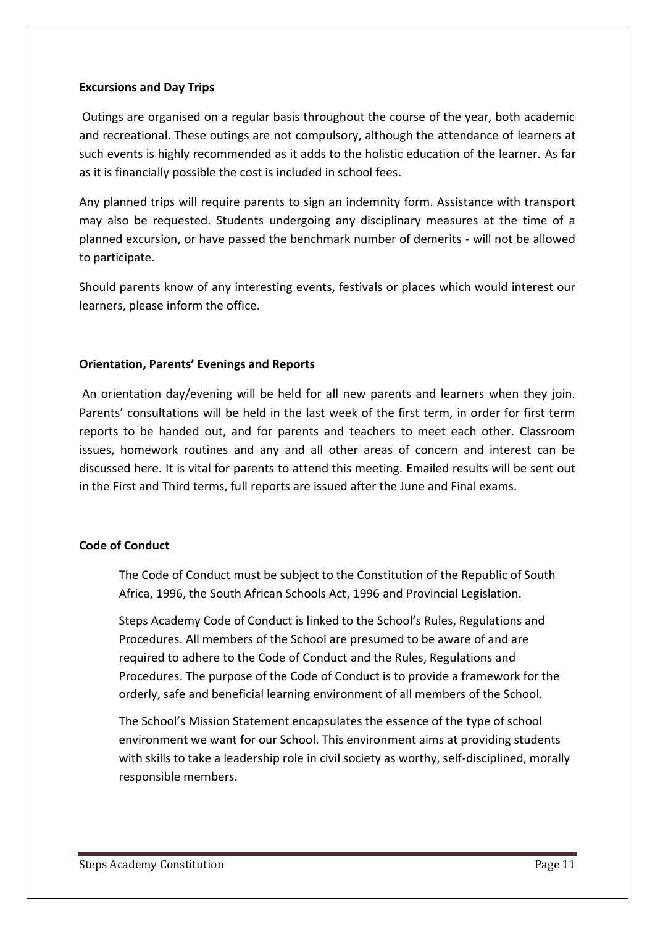### **Excursions and Day Trips**

Outings are organised on a regular basis throughout the course of the year, both academic and recreational. These outings are not compulsory, although the attendance of learners at such events is highly recommended as it adds to the holistic education of the learner. As far as it is financially possible the cost is included in school fees.

Any planned trips will require parents to sign an indemnity form. Assistance with transport may also be requested. Students undergoing any disciplinary measures at the time of a planned excursion, or have passed the benchmark number of demerits - will not be allowed to participate.

Should parents know of any interesting events, festivals or places which would interest our learners, please inform the office.

### **Orientation, Parents' Evenings and Reports**

An orientation day/evening will be held for all new parents and learners when they join. Parents' consultations will be held in the last week of the first term, in order for first term reports to be handed out, and for parents and teachers to meet each other. Classroom issues, homework routines and any and all other areas of concern and interest can be discussed here. It is vital for parents to attend this meeting. Emailed results will be sent out in the First and Third terms, full reports are issued after the June and Final exams.

### **Code of Conduct**

The Code of Conduct must be subject to the Constitution of the Republic of South Africa, 1996, the South African Schools Act, 1996 and Provincial Legislation.

Steps Academy Code of Conduct is linked to the School's Rules, Regulations and Procedures. All members of the School are presumed to be aware of and are required to adhere to the Code of Conduct and the Rules, Regulations and Procedures. The purpose of the Code of Conduct is to provide a framework for the orderly, safe and beneficial learning environment of all members of the School.

The School's Mission Statement encapsulates the essence of the type of school environment we want for our School. This environment aims at providing students with skills to take a leadership role in civil society as worthy, self-disciplined, morally responsible members.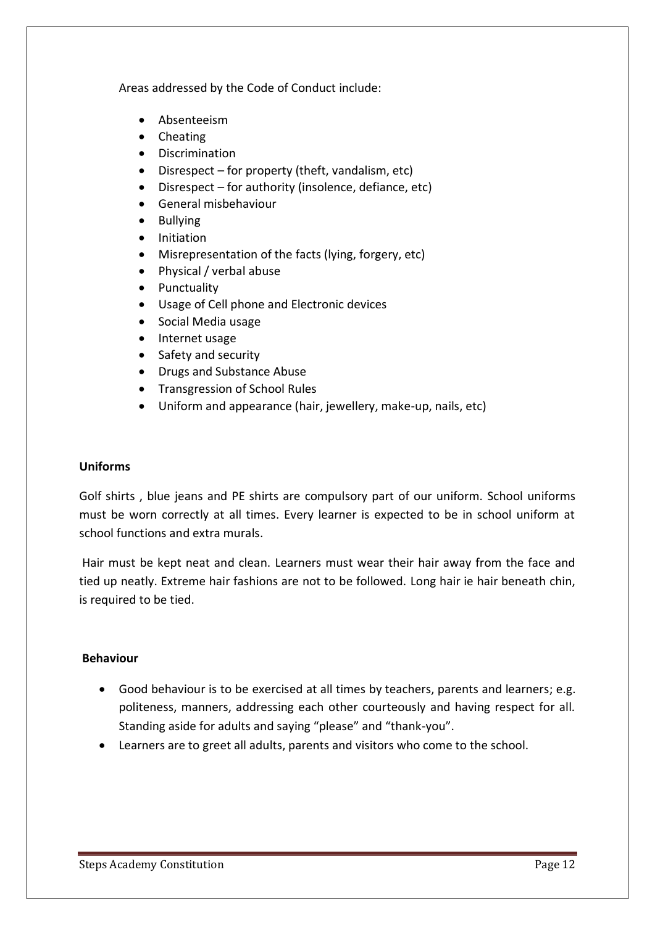Areas addressed by the Code of Conduct include:

- Absenteeism
- Cheating
- **•** Discrimination
- Disrespect for property (theft, vandalism, etc)
- Disrespect for authority (insolence, defiance, etc)
- General misbehaviour
- Bullying
- Initiation
- Misrepresentation of the facts (lying, forgery, etc)
- Physical / verbal abuse
- Punctuality
- Usage of Cell phone and Electronic devices
- Social Media usage
- Internet usage
- Safety and security
- Drugs and Substance Abuse
- Transgression of School Rules
- Uniform and appearance (hair, jewellery, make-up, nails, etc)

## **Uniforms**

Golf shirts , blue jeans and PE shirts are compulsory part of our uniform. School uniforms must be worn correctly at all times. Every learner is expected to be in school uniform at school functions and extra murals.

Hair must be kept neat and clean. Learners must wear their hair away from the face and tied up neatly. Extreme hair fashions are not to be followed. Long hair ie hair beneath chin, is required to be tied.

# **Behaviour**

- Good behaviour is to be exercised at all times by teachers, parents and learners; e.g. politeness, manners, addressing each other courteously and having respect for all. Standing aside for adults and saying "please" and "thank-you".
- Learners are to greet all adults, parents and visitors who come to the school.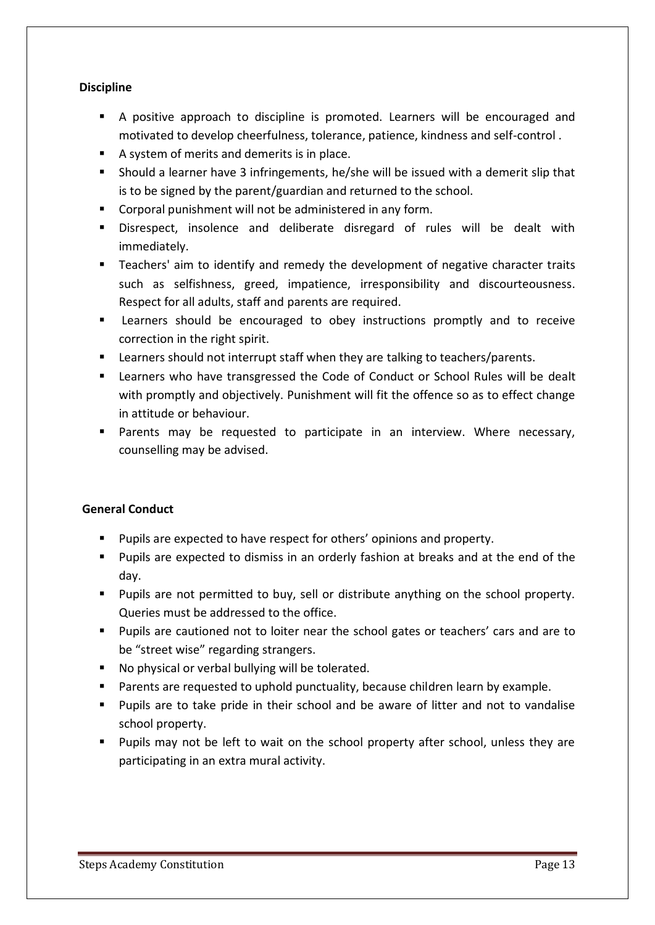# **Discipline**

- A positive approach to discipline is promoted. Learners will be encouraged and motivated to develop cheerfulness, tolerance, patience, kindness and self-control .
- A system of merits and demerits is in place.
- Should a learner have 3 infringements, he/she will be issued with a demerit slip that is to be signed by the parent/guardian and returned to the school.
- Corporal punishment will not be administered in any form.
- Disrespect, insolence and deliberate disregard of rules will be dealt with immediately.
- Teachers' aim to identify and remedy the development of negative character traits such as selfishness, greed, impatience, irresponsibility and discourteousness. Respect for all adults, staff and parents are required.
- **EXEC** Learners should be encouraged to obey instructions promptly and to receive correction in the right spirit.
- **EXECTE FIGHT IS 2018 Learners** should not interrupt staff when they are talking to teachers/parents.
- Learners who have transgressed the Code of Conduct or School Rules will be dealt with promptly and objectively. Punishment will fit the offence so as to effect change in attitude or behaviour.
- **Parents may be requested to participate in an interview. Where necessary,** counselling may be advised.

# **General Conduct**

- Pupils are expected to have respect for others' opinions and property.
- **Pupils are expected to dismiss in an orderly fashion at breaks and at the end of the** day.
- **Pupils are not permitted to buy, sell or distribute anything on the school property.** Queries must be addressed to the office.
- Pupils are cautioned not to loiter near the school gates or teachers' cars and are to be "street wise" regarding strangers.
- No physical or verbal bullying will be tolerated.
- Parents are requested to uphold punctuality, because children learn by example.
- Pupils are to take pride in their school and be aware of litter and not to vandalise school property.
- Pupils may not be left to wait on the school property after school, unless they are participating in an extra mural activity.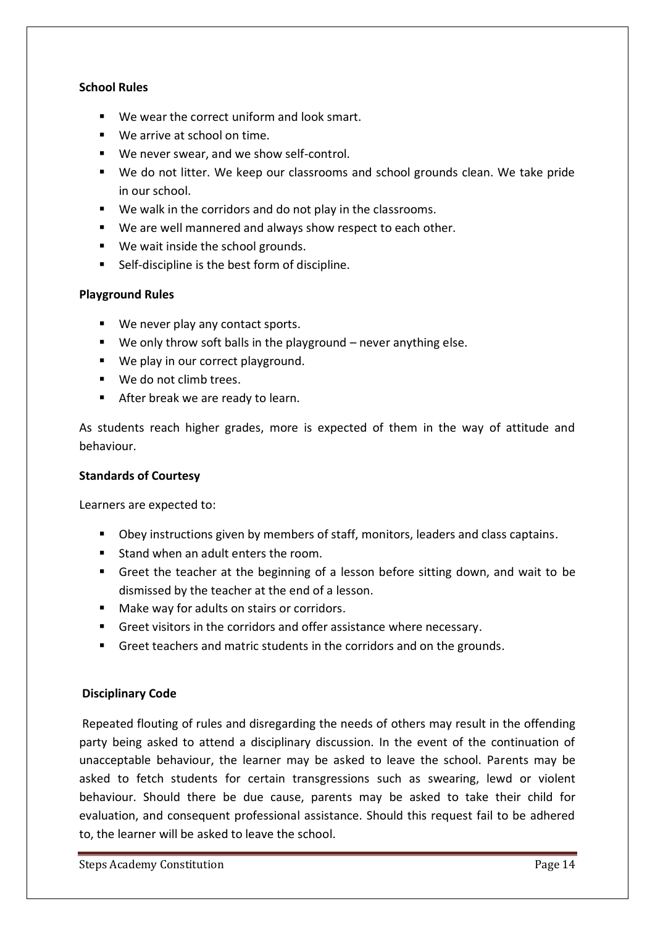### **School Rules**

- We wear the correct uniform and look smart.
- We arrive at school on time.
- We never swear, and we show self-control.
- We do not litter. We keep our classrooms and school grounds clean. We take pride in our school.
- We walk in the corridors and do not play in the classrooms.
- We are well mannered and always show respect to each other.
- We wait inside the school grounds.
- Self-discipline is the best form of discipline.

### **Playground Rules**

- We never play any contact sports.
- We only throw soft balls in the playground never anything else.
- We play in our correct playground.
- We do not climb trees.
- After break we are ready to learn.

As students reach higher grades, more is expected of them in the way of attitude and behaviour.

### **Standards of Courtesy**

Learners are expected to:

- **Divider** Obey instructions given by members of staff, monitors, leaders and class captains.
- **Stand when an adult enters the room.**
- Greet the teacher at the beginning of a lesson before sitting down, and wait to be dismissed by the teacher at the end of a lesson.
- Make way for adults on stairs or corridors.
- Greet visitors in the corridors and offer assistance where necessary.
- Greet teachers and matric students in the corridors and on the grounds.

### **Disciplinary Code**

Repeated flouting of rules and disregarding the needs of others may result in the offending party being asked to attend a disciplinary discussion. In the event of the continuation of unacceptable behaviour, the learner may be asked to leave the school. Parents may be asked to fetch students for certain transgressions such as swearing, lewd or violent behaviour. Should there be due cause, parents may be asked to take their child for evaluation, and consequent professional assistance. Should this request fail to be adhered to, the learner will be asked to leave the school.

Steps Academy Constitution **Page 14**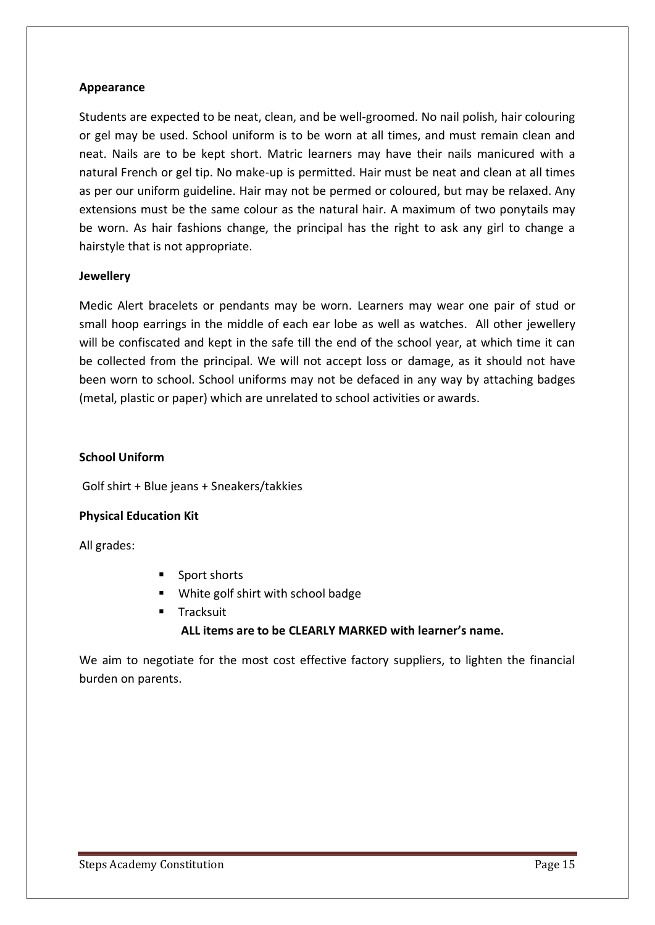## **Appearance**

Students are expected to be neat, clean, and be well-groomed. No nail polish, hair colouring or gel may be used. School uniform is to be worn at all times, and must remain clean and neat. Nails are to be kept short. Matric learners may have their nails manicured with a natural French or gel tip. No make-up is permitted. Hair must be neat and clean at all times as per our uniform guideline. Hair may not be permed or coloured, but may be relaxed. Any extensions must be the same colour as the natural hair. A maximum of two ponytails may be worn. As hair fashions change, the principal has the right to ask any girl to change a hairstyle that is not appropriate.

### **Jewellery**

Medic Alert bracelets or pendants may be worn. Learners may wear one pair of stud or small hoop earrings in the middle of each ear lobe as well as watches. All other jewellery will be confiscated and kept in the safe till the end of the school year, at which time it can be collected from the principal. We will not accept loss or damage, as it should not have been worn to school. School uniforms may not be defaced in any way by attaching badges (metal, plastic or paper) which are unrelated to school activities or awards.

### **School Uniform**

Golf shirt + Blue jeans + Sneakers/takkies

### **Physical Education Kit**

All grades:

- Sport shorts
- **White golf shirt with school badge**
- **Tracksuit**

# **ALL items are to be CLEARLY MARKED with learner's name.**

We aim to negotiate for the most cost effective factory suppliers, to lighten the financial burden on parents.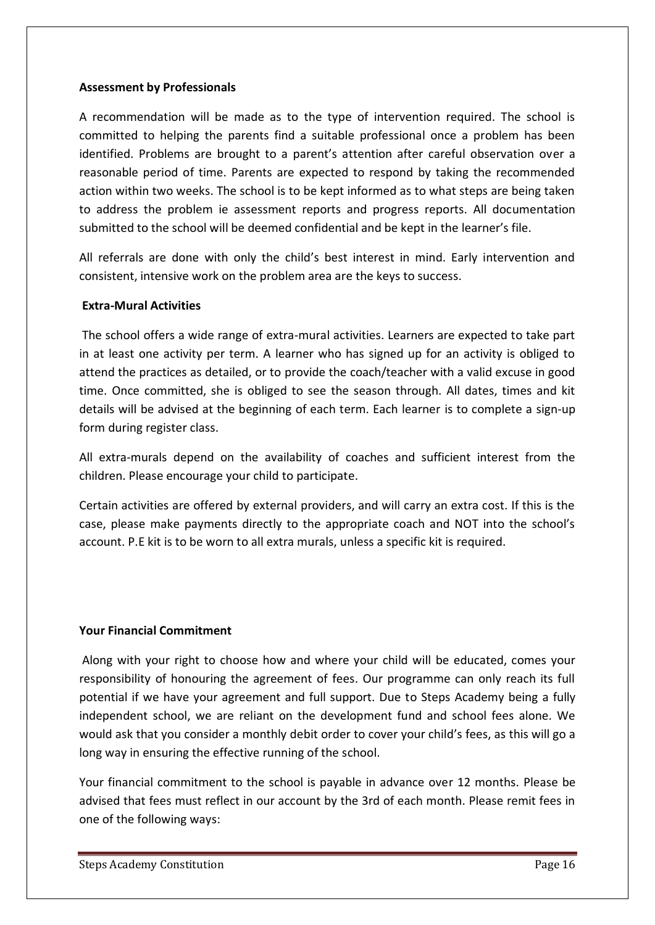### **Assessment by Professionals**

A recommendation will be made as to the type of intervention required. The school is committed to helping the parents find a suitable professional once a problem has been identified. Problems are brought to a parent's attention after careful observation over a reasonable period of time. Parents are expected to respond by taking the recommended action within two weeks. The school is to be kept informed as to what steps are being taken to address the problem ie assessment reports and progress reports. All documentation submitted to the school will be deemed confidential and be kept in the learner's file.

All referrals are done with only the child's best interest in mind. Early intervention and consistent, intensive work on the problem area are the keys to success.

### **Extra-Mural Activities**

The school offers a wide range of extra-mural activities. Learners are expected to take part in at least one activity per term. A learner who has signed up for an activity is obliged to attend the practices as detailed, or to provide the coach/teacher with a valid excuse in good time. Once committed, she is obliged to see the season through. All dates, times and kit details will be advised at the beginning of each term. Each learner is to complete a sign-up form during register class.

All extra-murals depend on the availability of coaches and sufficient interest from the children. Please encourage your child to participate.

Certain activities are offered by external providers, and will carry an extra cost. If this is the case, please make payments directly to the appropriate coach and NOT into the school's account. P.E kit is to be worn to all extra murals, unless a specific kit is required.

# **Your Financial Commitment**

Along with your right to choose how and where your child will be educated, comes your responsibility of honouring the agreement of fees. Our programme can only reach its full potential if we have your agreement and full support. Due to Steps Academy being a fully independent school, we are reliant on the development fund and school fees alone. We would ask that you consider a monthly debit order to cover your child's fees, as this will go a long way in ensuring the effective running of the school.

Your financial commitment to the school is payable in advance over 12 months. Please be advised that fees must reflect in our account by the 3rd of each month. Please remit fees in one of the following ways: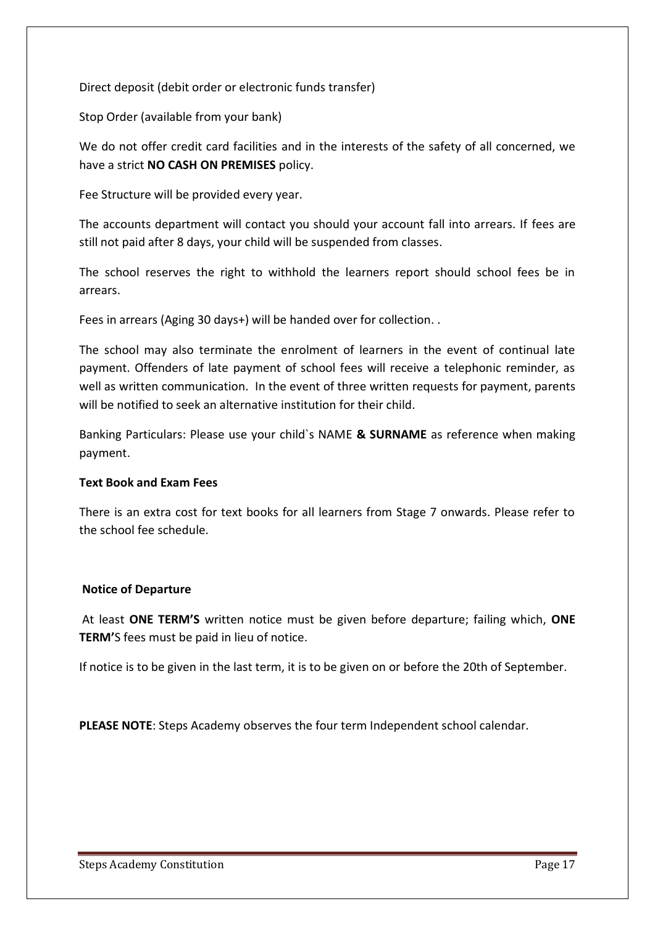Direct deposit (debit order or electronic funds transfer)

Stop Order (available from your bank)

We do not offer credit card facilities and in the interests of the safety of all concerned, we have a strict **NO CASH ON PREMISES** policy.

Fee Structure will be provided every year.

The accounts department will contact you should your account fall into arrears. If fees are still not paid after 8 days, your child will be suspended from classes.

The school reserves the right to withhold the learners report should school fees be in arrears.

Fees in arrears (Aging 30 days+) will be handed over for collection. .

The school may also terminate the enrolment of learners in the event of continual late payment. Offenders of late payment of school fees will receive a telephonic reminder, as well as written communication. In the event of three written requests for payment, parents will be notified to seek an alternative institution for their child.

Banking Particulars: Please use your child`s NAME **& SURNAME** as reference when making payment.

### **Text Book and Exam Fees**

There is an extra cost for text books for all learners from Stage 7 onwards. Please refer to the school fee schedule.

### **Notice of Departure**

At least **ONE TERM'S** written notice must be given before departure; failing which, **ONE TERM'**S fees must be paid in lieu of notice.

If notice is to be given in the last term, it is to be given on or before the 20th of September.

**PLEASE NOTE**: Steps Academy observes the four term Independent school calendar.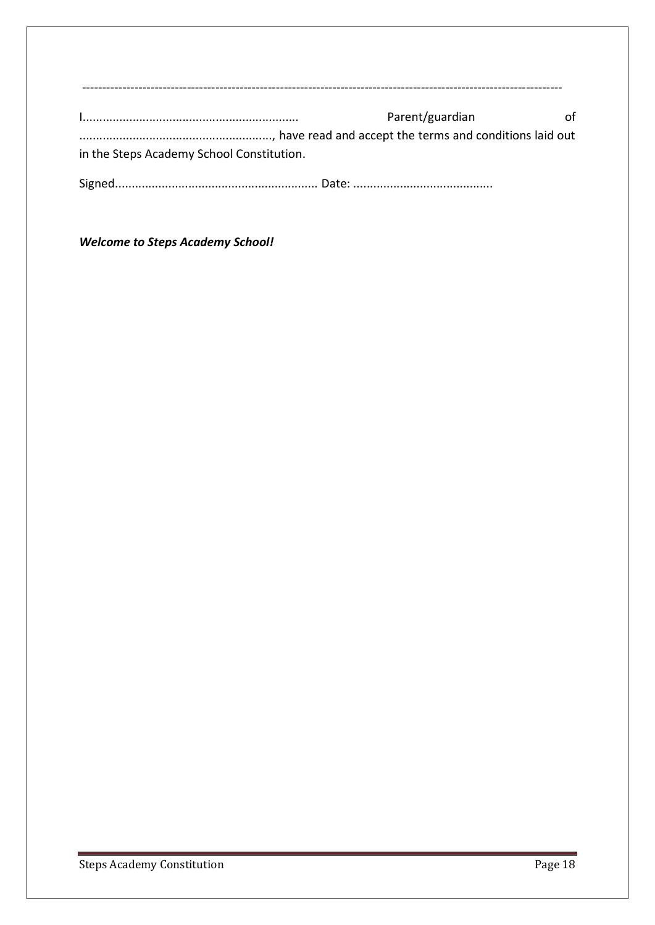|                                           | Ωf<br>Parent/guardian |
|-------------------------------------------|-----------------------|
|                                           |                       |
| in the Steps Academy School Constitution. |                       |
|                                           |                       |

*Welcome to Steps Academy School!*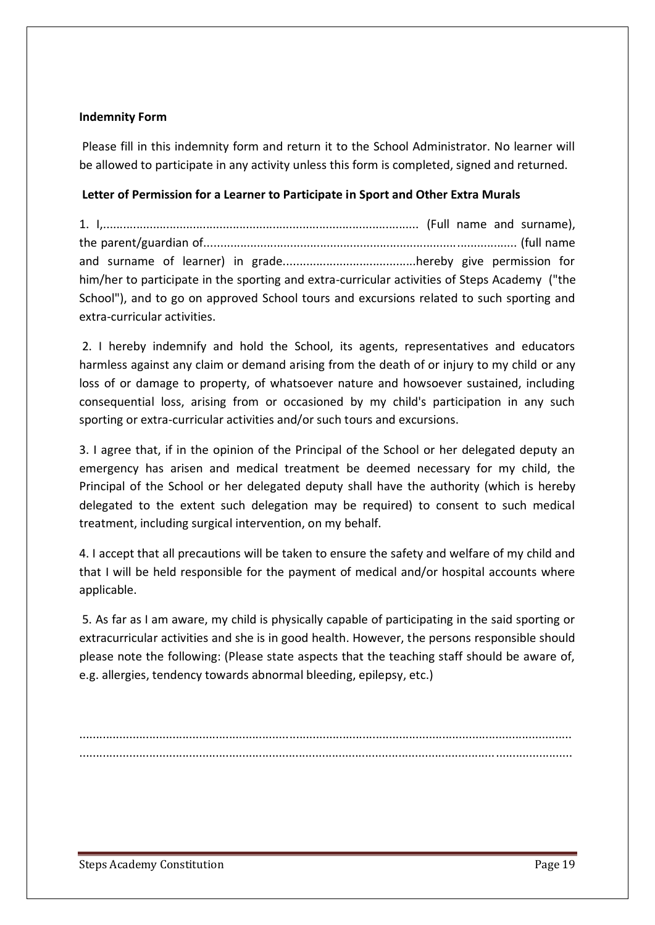### **Indemnity Form**

Please fill in this indemnity form and return it to the School Administrator. No learner will be allowed to participate in any activity unless this form is completed, signed and returned.

# **Letter of Permission for a Learner to Participate in Sport and Other Extra Murals**

| him/her to participate in the sporting and extra-curricular activities of Steps Academy ("the |  |  |
|-----------------------------------------------------------------------------------------------|--|--|
| School"), and to go on approved School tours and excursions related to such sporting and      |  |  |
| extra-curricular activities.                                                                  |  |  |

2. I hereby indemnify and hold the School, its agents, representatives and educators harmless against any claim or demand arising from the death of or injury to my child or any loss of or damage to property, of whatsoever nature and howsoever sustained, including consequential loss, arising from or occasioned by my child's participation in any such sporting or extra-curricular activities and/or such tours and excursions.

3. I agree that, if in the opinion of the Principal of the School or her delegated deputy an emergency has arisen and medical treatment be deemed necessary for my child, the Principal of the School or her delegated deputy shall have the authority (which is hereby delegated to the extent such delegation may be required) to consent to such medical treatment, including surgical intervention, on my behalf.

4. I accept that all precautions will be taken to ensure the safety and welfare of my child and that I will be held responsible for the payment of medical and/or hospital accounts where applicable.

5. As far as I am aware, my child is physically capable of participating in the said sporting or extracurricular activities and she is in good health. However, the persons responsible should please note the following: (Please state aspects that the teaching staff should be aware of, e.g. allergies, tendency towards abnormal bleeding, epilepsy, etc.)

.................................................................................................................................................... ....................................................................................................................................................